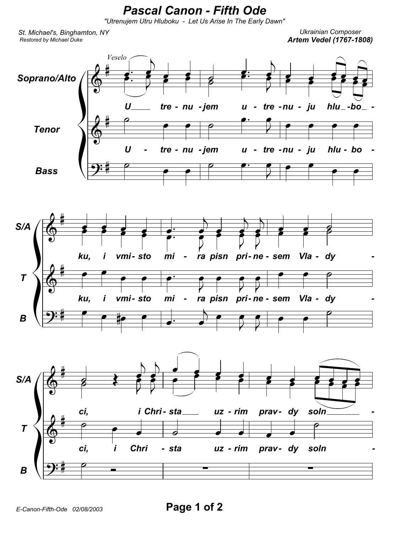## **Pascal Canon - Fifth Ode**

"Utrenujem Utru Hluboku - Let Us Arise In The Early Dawn"

St. Michael's, Binghamton, NY Restored by Michael Duke

**Ukrainian Composer Artem Vedel (1767-1808)**